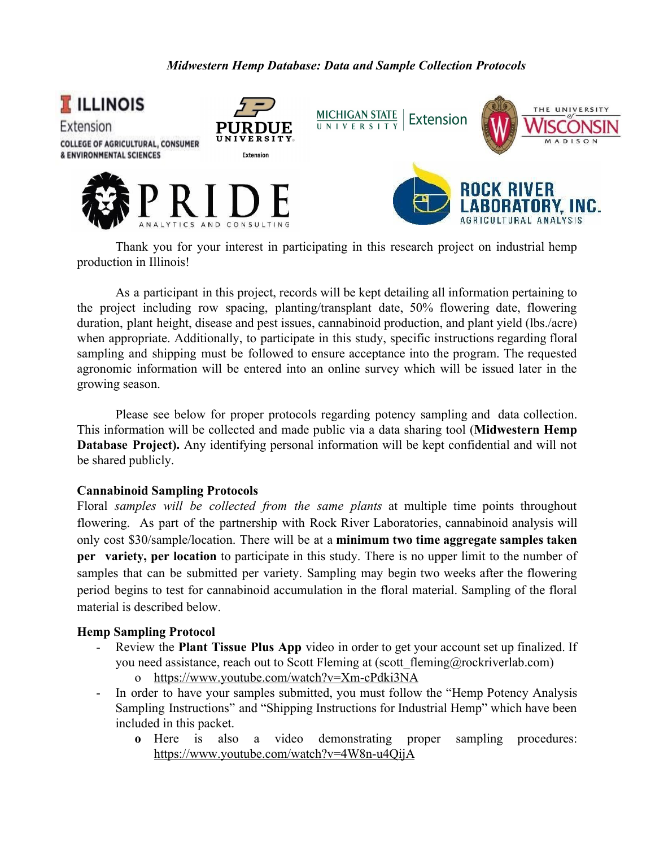### *Midwestern Hemp Database: Data and Sample Collection Protocols*



Thank you for your interest in participating in this research project on industrial hemp production in Illinois!

As a participant in this project, records will be kept detailing all information pertaining to the project including row spacing, planting/transplant date, 50% flowering date, flowering duration, plant height, disease and pest issues, cannabinoid production, and plant yield (lbs./acre) when appropriate. Additionally, to participate in this study, specific instructions regarding floral sampling and shipping must be followed to ensure acceptance into the program. The requested agronomic information will be entered into an online survey which will be issued later in the growing season.

Please see below for proper protocols regarding potency sampling and data collection. This information will be collected and made public via a data sharing tool (**Midwestern Hemp Database Project).** Any identifying personal information will be kept confidential and will not be shared publicly.

#### **Cannabinoid Sampling Protocols**

Floral *samples will be collected from the same plants* at multiple time points throughout flowering. As part of the partnership with Rock River Laboratories, cannabinoid analysis will only cost \$30/sample/location. There will be at a **minimum two time aggregate samples taken per variety, per location** to participate in this study. There is no upper limit to the number of samples that can be submitted per variety. Sampling may begin two weeks after the flowering period begins to test for cannabinoid accumulation in the floral material. Sampling of the floral material is described below.

#### **[Hemp Sampling Protocol](https://www.youtube.com/watch?v=4W8n-u4QijA)**

- Review the **Plant Tissue Plus App** video in order to get your account set up finalized. If you need assistance, reach out to Scott Fleming at (scott\_fleming@rockriverlab.com)
	- o <https://www.youtube.com/watch?v=Xm-cPdki3NA>
- In order to have your samples submitted, you must follow the "Hemp Potency Analysis Sampling Instructions" and "Shipping Instructions for Industrial Hemp" which have been included in this packet.
	- **o** Here is also a video demonstrating proper sampling procedures: <https://www.youtube.com/watch?v=4W8n-u4QijA>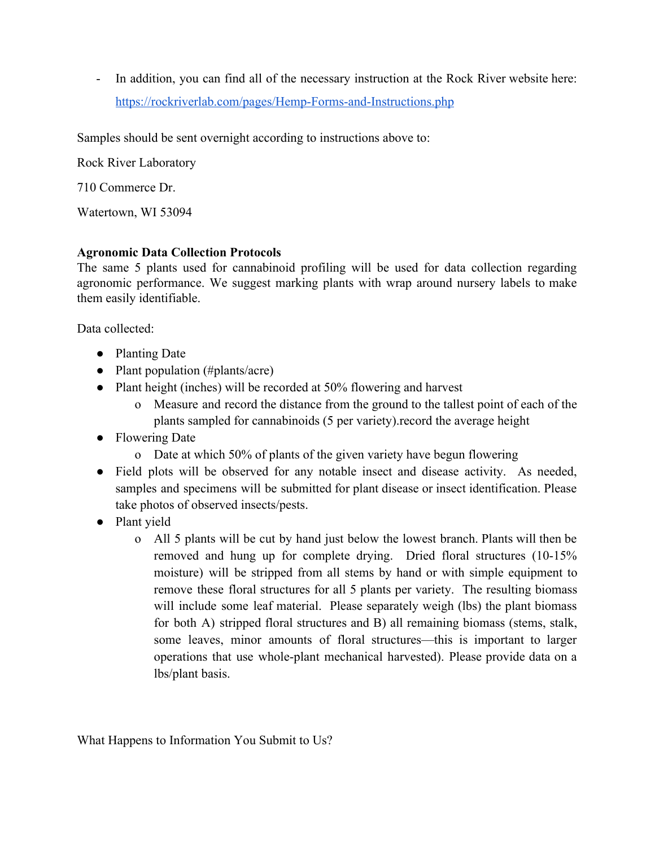- In addition, you can find all of the necessary instruction at the Rock River website here: <https://rockriverlab.com/pages/Hemp-Forms-and-Instructions.php>

Samples should be sent overnight according to instructions above to:

Rock River Laboratory

710 Commerce Dr.

Watertown, WI 53094

# **Agronomic Data Collection Protocols**

The same 5 plants used for cannabinoid profiling will be used for data collection regarding agronomic performance. We suggest marking plants with wrap around nursery labels to make them easily identifiable.

Data collected:

- Planting Date
- Plant population (#plants/acre)
- Plant height (inches) will be recorded at 50% flowering and harvest
	- o Measure and record the distance from the ground to the tallest point of each of the plants sampled for cannabinoids (5 per variety).record the average height
- Flowering Date
	- o Date at which 50% of plants of the given variety have begun flowering
- Field plots will be observed for any notable insect and disease activity. As needed, samples and specimens will be submitted for plant disease or insect identification. Please take photos of observed insects/pests.
- Plant yield
	- o All 5 plants will be cut by hand just below the lowest branch. Plants will then be removed and hung up for complete drying. Dried floral structures (10-15% moisture) will be stripped from all stems by hand or with simple equipment to remove these floral structures for all 5 plants per variety. The resulting biomass will include some leaf material. Please separately weigh (lbs) the plant biomass for both A) stripped floral structures and B) all remaining biomass (stems, stalk, some leaves, minor amounts of floral structures—this is important to larger operations that use whole-plant mechanical harvested). Please provide data on a lbs/plant basis.

What Happens to Information You Submit to Us?